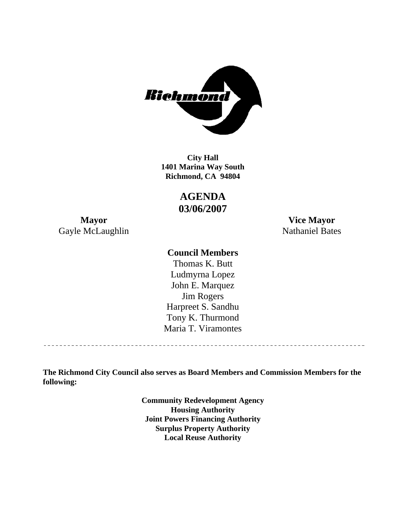

**1401 Marina Way South Richmond, CA 94804 City Hall** 

> **AGENDA 03/06/2007**

Gayle McLaughlin Nathaniel Bates

**Mayor Vice Mayor** 

### **Council Members**

Harpreet S. Sandhu Tony K. Thurmond Maria T. Viramontes Thomas K. Butt Ludmyrna Lopez John E. Marquez Jim Rogers

**The Richmond City Council also serves as Board Members and Commission Members for the following:** 

> **Community Redevelopment Agency Housing Authority Joint Powers Financing Authority Surplus Property Authority Local Reuse Authority**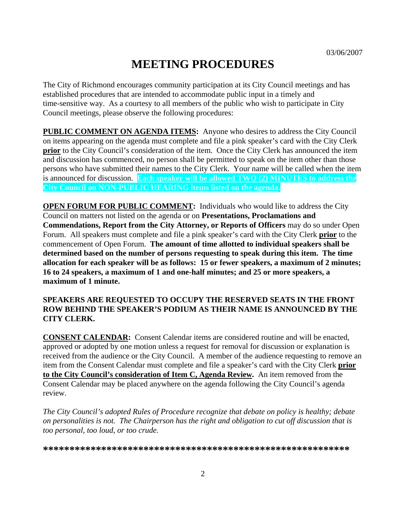# **MEETING PROCEDURES**

The City of Richmond encourages community participation at its City Council meetings and has established procedures that are intended to accommodate public input in a timely and time-sensitive way. As a courtesy to all members of the public who wish to participate in City Council meetings, please observe the following procedures:

**PUBLIC COMMENT ON AGENDA ITEMS:** Anyone who desires to address the City Council on items appearing on the agenda must complete and file a pink speaker's card with the City Clerk **prior** to the City Council's consideration of the item. Once the City Clerk has announced the item and discussion has commenced, no person shall be permitted to speak on the item other than those persons who have submitted their names to the City Clerk. Your name will be called when the item is announced for discussion. **Each speaker will be allowed TWO (2) MINUTES to address the City Council on NON-PUBLIC HEARING items listed on the agenda.** 

**OPEN FORUM FOR PUBLIC COMMENT:** Individuals who would like to address the City Council on matters not listed on the agenda or on **Presentations, Proclamations and Commendations, Report from the City Attorney, or Reports of Officers** may do so under Open Forum. All speakers must complete and file a pink speaker's card with the City Clerk **prior** to the commencement of Open Forum. **The amount of time allotted to individual speakers shall be determined based on the number of persons requesting to speak during this item. The time allocation for each speaker will be as follows: 15 or fewer speakers, a maximum of 2 minutes; 16 to 24 speakers, a maximum of 1 and one-half minutes; and 25 or more speakers, a maximum of 1 minute.** 

#### **SPEAKERS ARE REQUESTED TO OCCUPY THE RESERVED SEATS IN THE FRONT ROW BEHIND THE SPEAKER'S PODIUM AS THEIR NAME IS ANNOUNCED BY THE CITY CLERK.**

**CONSENT CALENDAR:** Consent Calendar items are considered routine and will be enacted, approved or adopted by one motion unless a request for removal for discussion or explanation is received from the audience or the City Council. A member of the audience requesting to remove an item from the Consent Calendar must complete and file a speaker's card with the City Clerk **prior to the City Council's consideration of Item C, Agenda Review.** An item removed from the Consent Calendar may be placed anywhere on the agenda following the City Council's agenda review.

*The City Council's adopted Rules of Procedure recognize that debate on policy is healthy; debate on personalities is not. The Chairperson has the right and obligation to cut off discussion that is too personal, too loud, or too crude.* 

**\*\*\*\*\*\*\*\*\*\*\*\*\*\*\*\*\*\*\*\*\*\*\*\*\*\*\*\*\*\*\*\*\*\*\*\*\*\*\*\*\*\*\*\*\*\*\*\*\*\*\*\*\*\*\*\*\*\***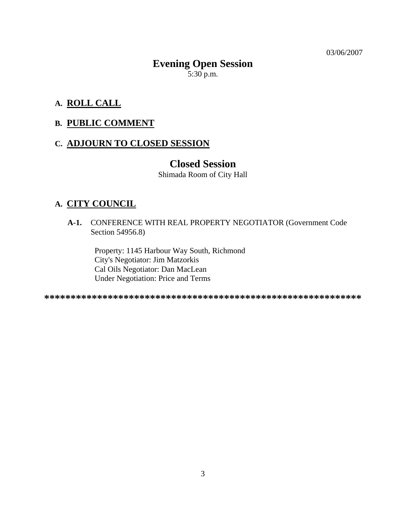03/06/2007

# **Evening Open Session**   $5:30$  p.m.

### **A. ROLL CALL**

### **B. PUBLIC COMMENT**

### **C. ADJOURN TO CLOSED SESSION**

### **Closed Session**

Shimada Room of City Hall

### **A. CITY COUNCIL**

**A-1.** CONFERENCE WITH REAL PROPERTY NEGOTIATOR (Government Code Section 54956.8)

Property: 1145 Harbour Way South, Richmond City's Negotiator: Jim Matzorkis Cal Oils Negotiator: Dan MacLean Under Negotiation: Price and Terms

**\*\*\*\*\*\*\*\*\*\*\*\*\*\*\*\*\*\*\*\*\*\*\*\*\*\*\*\*\*\*\*\*\*\*\*\*\*\*\*\*\*\*\*\*\*\*\*\*\*\*\*\*\*\*\*\*\*\*\*\***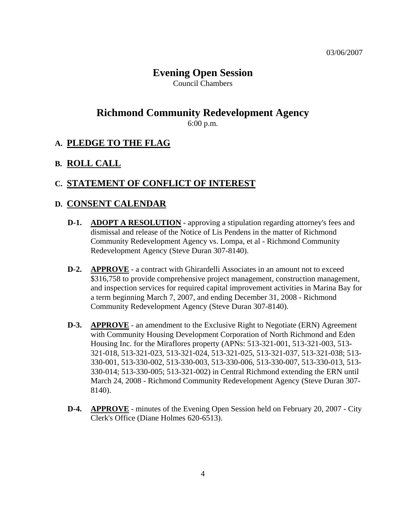# **Evening Open Session**

Council Chambers

# **Richmond Community Redevelopment Agency**

6:00 p.m.

### **A. PLEDGE TO THE FLAG**

### **B. ROLL CALL**

### **C. STATEMENT OF CONFLICT OF INTEREST**

### **D. CONSENT CALENDAR**

- **D-1. ADOPT A RESOLUTION** approving a stipulation regarding attorney's fees and dismissal and release of the Notice of Lis Pendens in the matter of Richmond Community Redevelopment Agency vs. Lompa, et al - Richmond Community Redevelopment Agency (Steve Duran 307-8140).
- **D-2. APPROVE** a contract with Ghirardelli Associates in an amount not to exceed \$316,758 to provide comprehensive project management, construction management, and inspection services for required capital improvement activities in Marina Bay for a term beginning March 7, 2007, and ending December 31, 2008 - Richmond Community Redevelopment Agency (Steve Duran 307-8140).
- **D-3. APPROVE** an amendment to the Exclusive Right to Negotiate (ERN) Agreement with Community Housing Development Corporation of North Richmond and Eden Housing Inc. for the Miraflores property (APNs: 513-321-001, 513-321-003, 513- 321-018, 513-321-023, 513-321-024, 513-321-025, 513-321-037, 513-321-038; 513- 330-001, 513-330-002, 513-330-003, 513-330-006, 513-330-007, 513-330-013, 513- 330-014; 513-330-005; 513-321-002) in Central Richmond extending the ERN until March 24, 2008 - Richmond Community Redevelopment Agency (Steve Duran 307- 8140).
- **D-4. APPROVE** minutes of the Evening Open Session held on February 20, 2007 City Clerk's Office (Diane Holmes 620-6513).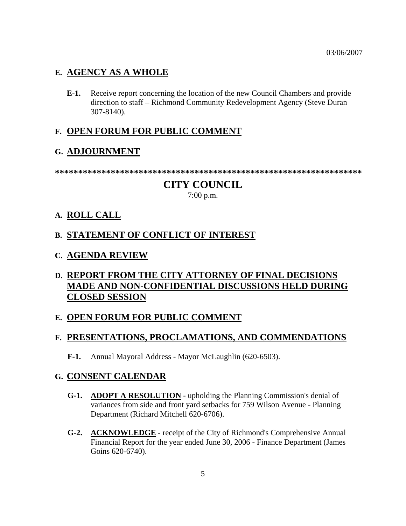### **E. AGENCY AS A WHOLE**

**E-1.** Receive report concerning the location of the new Council Chambers and provide direction to staff – Richmond Community Redevelopment Agency (Steve Duran 307-8140).

### **F. OPEN FORUM FOR PUBLIC COMMENT**

### **G. ADJOURNMENT**

**\*\*\*\*\*\*\*\*\*\*\*\*\*\*\*\*\*\*\*\*\*\*\*\*\*\*\*\*\*\*\*\*\*\*\*\*\*\*\*\*\*\*\*\*\*\*\*\*\*\*\*\*\*\*\*\*\*\*\*\*\*\*\*\*\*\*** 

# **CITY COUNCIL**

7:00 p.m.

### **A. ROLL CALL**

### **B. STATEMENT OF CONFLICT OF INTEREST**

**C. AGENDA REVIEW**

# **D. REPORT FROM THE CITY ATTORNEY OF FINAL DECISIONS MADE AND NON-CONFIDENTIAL DISCUSSIONS HELD DURING CLOSED SESSION**

### **E. OPEN FORUM FOR PUBLIC COMMENT**

### **F. PRESENTATIONS, PROCLAMATIONS, AND COMMENDATIONS**

**F-1.** Annual Mayoral Address - Mayor McLaughlin (620-6503).

### **G. CONSENT CALENDAR**

- **G-1. ADOPT A RESOLUTION** upholding the Planning Commission's denial of variances from side and front yard setbacks for 759 Wilson Avenue - Planning Department (Richard Mitchell 620-6706).
- **G-2. ACKNOWLEDGE** receipt of the City of Richmond's Comprehensive Annual Financial Report for the year ended June 30, 2006 - Finance Department (James Goins 620-6740).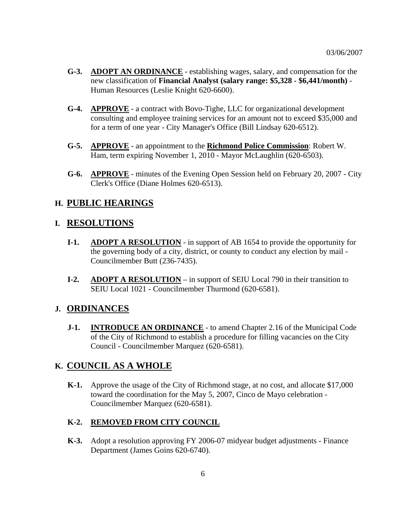- **G-3. ADOPT AN ORDINANCE** establishing wages, salary, and compensation for the new classification of **Financial Analyst (salary range: \$5,328 - \$6,441/month)** - Human Resources (Leslie Knight 620-6600).
- **G-4. APPROVE** a contract with Bovo-Tighe, LLC for organizational development consulting and employee training services for an amount not to exceed \$35,000 and for a term of one year - City Manager's Office (Bill Lindsay 620-6512).
- **G-5. APPROVE** an appointment to the **Richmond Police Commission**: Robert W. Ham, term expiring November 1, 2010 - Mayor McLaughlin (620-6503).
- **G-6. APPROVE** minutes of the Evening Open Session held on February 20, 2007 City Clerk's Office (Diane Holmes 620-6513).

### **H. PUBLIC HEARINGS**

#### **I. RESOLUTIONS**

- **I-1. ADOPT A RESOLUTION** in support of AB 1654 to provide the opportunity for the governing body of a city, district, or county to conduct any election by mail - Councilmember Butt (236-7435).
- **I-2. ADOPT A RESOLUTION** in support of SEIU Local 790 in their transition to SEIU Local 1021 - Councilmember Thurmond (620-6581).

#### **J. ORDINANCES**

**J-1. INTRODUCE AN ORDINANCE** - to amend Chapter 2.16 of the Municipal Code of the City of Richmond to establish a procedure for filling vacancies on the City Council - Councilmember Marquez (620-6581).

### **K. COUNCIL AS A WHOLE**

**K-1.** Approve the usage of the City of Richmond stage, at no cost, and allocate \$17,000 toward the coordination for the May 5, 2007, Cinco de Mayo celebration - Councilmember Marquez (620-6581).

#### **K-2. REMOVED FROM CITY COUNCIL**

**K-3.** Adopt a resolution approving FY 2006-07 midyear budget adjustments - Finance Department (James Goins 620-6740).